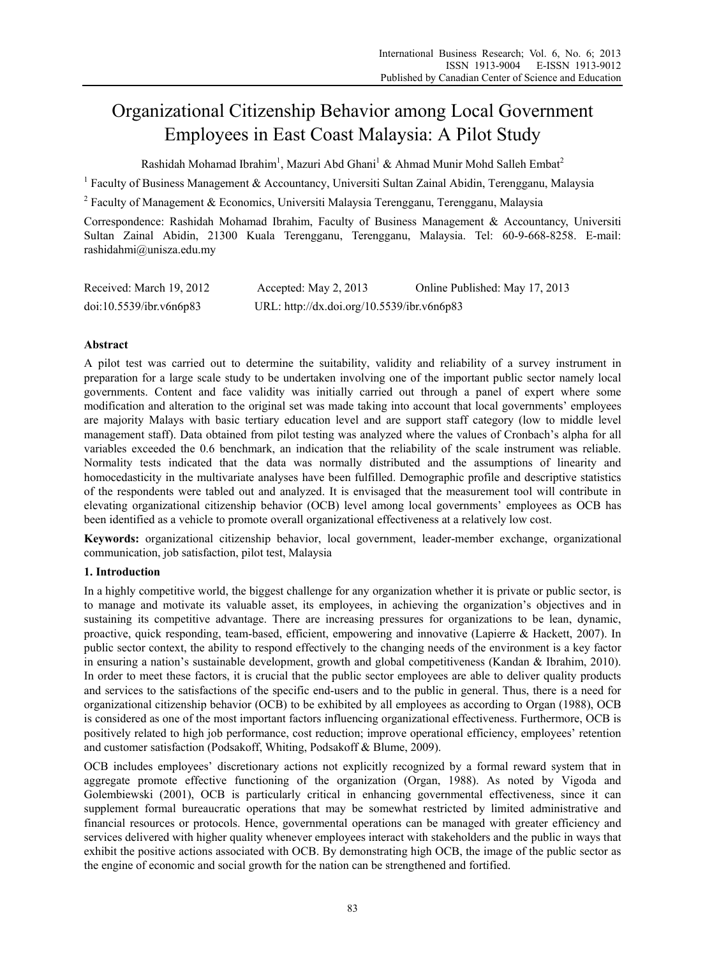# Organizational Citizenship Behavior among Local Government Employees in East Coast Malaysia: A Pilot Study

Rashidah Mohamad Ibrahim<sup>1</sup>, Mazuri Abd Ghani<sup>1</sup> & Ahmad Munir Mohd Salleh Embat<sup>2</sup>

<sup>1</sup> Faculty of Business Management & Accountancy, Universiti Sultan Zainal Abidin, Terengganu, Malaysia

<sup>2</sup> Faculty of Management & Economics, Universiti Malaysia Terengganu, Terengganu, Malaysia

Correspondence: Rashidah Mohamad Ibrahim, Faculty of Business Management & Accountancy, Universiti Sultan Zainal Abidin, 21300 Kuala Terengganu, Terengganu, Malaysia. Tel: 60-9-668-8258. E-mail: rashidahmi@unisza.edu.my

| Received: March 19, 2012 | Accepted: May 2, 2013                      | Online Published: May 17, 2013 |
|--------------------------|--------------------------------------------|--------------------------------|
| doi:10.5539/ibr.v6n6p83  | URL: http://dx.doi.org/10.5539/ibr.v6n6p83 |                                |

## **Abstract**

A pilot test was carried out to determine the suitability, validity and reliability of a survey instrument in preparation for a large scale study to be undertaken involving one of the important public sector namely local governments. Content and face validity was initially carried out through a panel of expert where some modification and alteration to the original set was made taking into account that local governments' employees are majority Malays with basic tertiary education level and are support staff category (low to middle level management staff). Data obtained from pilot testing was analyzed where the values of Cronbach's alpha for all variables exceeded the 0.6 benchmark, an indication that the reliability of the scale instrument was reliable. Normality tests indicated that the data was normally distributed and the assumptions of linearity and homocedasticity in the multivariate analyses have been fulfilled. Demographic profile and descriptive statistics of the respondents were tabled out and analyzed. It is envisaged that the measurement tool will contribute in elevating organizational citizenship behavior (OCB) level among local governments' employees as OCB has been identified as a vehicle to promote overall organizational effectiveness at a relatively low cost.

**Keywords:** organizational citizenship behavior, local government, leader-member exchange, organizational communication, job satisfaction, pilot test, Malaysia

## **1. Introduction**

In a highly competitive world, the biggest challenge for any organization whether it is private or public sector, is to manage and motivate its valuable asset, its employees, in achieving the organization's objectives and in sustaining its competitive advantage. There are increasing pressures for organizations to be lean, dynamic, proactive, quick responding, team-based, efficient, empowering and innovative (Lapierre & Hackett, 2007). In public sector context, the ability to respond effectively to the changing needs of the environment is a key factor in ensuring a nation's sustainable development, growth and global competitiveness (Kandan & Ibrahim, 2010). In order to meet these factors, it is crucial that the public sector employees are able to deliver quality products and services to the satisfactions of the specific end-users and to the public in general. Thus, there is a need for organizational citizenship behavior (OCB) to be exhibited by all employees as according to Organ (1988), OCB is considered as one of the most important factors influencing organizational effectiveness. Furthermore, OCB is positively related to high job performance, cost reduction; improve operational efficiency, employees' retention and customer satisfaction (Podsakoff, Whiting, Podsakoff & Blume, 2009).

OCB includes employees' discretionary actions not explicitly recognized by a formal reward system that in aggregate promote effective functioning of the organization (Organ, 1988). As noted by Vigoda and Golembiewski (2001), OCB is particularly critical in enhancing governmental effectiveness, since it can supplement formal bureaucratic operations that may be somewhat restricted by limited administrative and financial resources or protocols. Hence, governmental operations can be managed with greater efficiency and services delivered with higher quality whenever employees interact with stakeholders and the public in ways that exhibit the positive actions associated with OCB. By demonstrating high OCB, the image of the public sector as the engine of economic and social growth for the nation can be strengthened and fortified.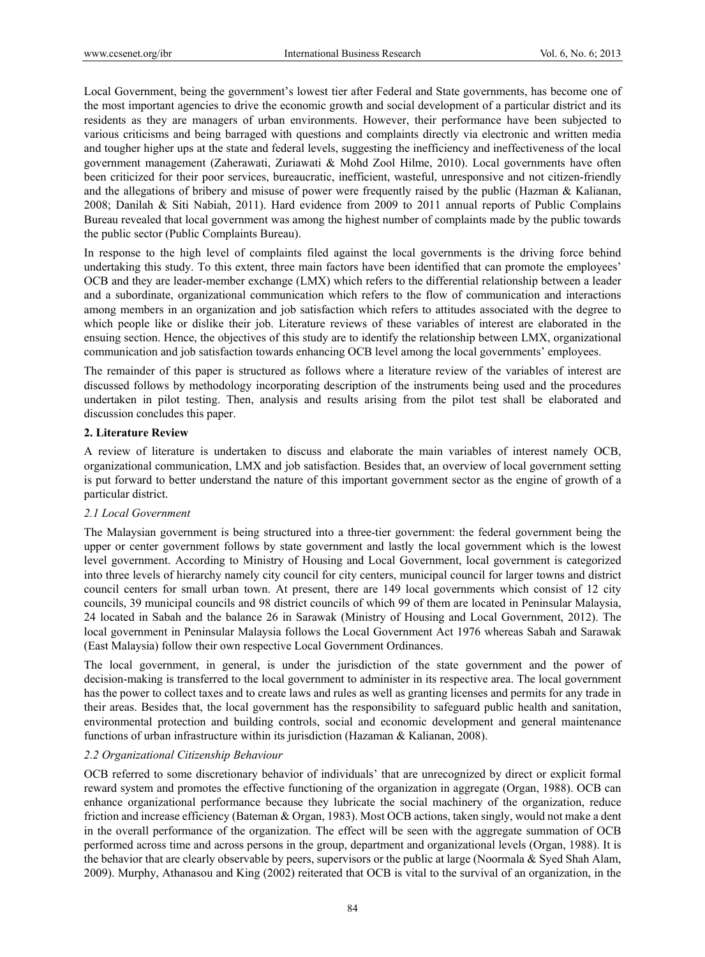Local Government, being the government's lowest tier after Federal and State governments, has become one of the most important agencies to drive the economic growth and social development of a particular district and its residents as they are managers of urban environments. However, their performance have been subjected to various criticisms and being barraged with questions and complaints directly via electronic and written media and tougher higher ups at the state and federal levels, suggesting the inefficiency and ineffectiveness of the local government management (Zaherawati, Zuriawati & Mohd Zool Hilme, 2010). Local governments have often been criticized for their poor services, bureaucratic, inefficient, wasteful, unresponsive and not citizen-friendly and the allegations of bribery and misuse of power were frequently raised by the public (Hazman & Kalianan, 2008; Danilah & Siti Nabiah, 2011). Hard evidence from 2009 to 2011 annual reports of Public Complains Bureau revealed that local government was among the highest number of complaints made by the public towards the public sector (Public Complaints Bureau).

In response to the high level of complaints filed against the local governments is the driving force behind undertaking this study. To this extent, three main factors have been identified that can promote the employees' OCB and they are leader-member exchange (LMX) which refers to the differential relationship between a leader and a subordinate, organizational communication which refers to the flow of communication and interactions among members in an organization and job satisfaction which refers to attitudes associated with the degree to which people like or dislike their job. Literature reviews of these variables of interest are elaborated in the ensuing section. Hence, the objectives of this study are to identify the relationship between LMX, organizational communication and job satisfaction towards enhancing OCB level among the local governments' employees.

The remainder of this paper is structured as follows where a literature review of the variables of interest are discussed follows by methodology incorporating description of the instruments being used and the procedures undertaken in pilot testing. Then, analysis and results arising from the pilot test shall be elaborated and discussion concludes this paper.

## **2. Literature Review**

A review of literature is undertaken to discuss and elaborate the main variables of interest namely OCB, organizational communication, LMX and job satisfaction. Besides that, an overview of local government setting is put forward to better understand the nature of this important government sector as the engine of growth of a particular district.

# *2.1 Local Government*

The Malaysian government is being structured into a three-tier government: the federal government being the upper or center government follows by state government and lastly the local government which is the lowest level government. According to Ministry of Housing and Local Government, local government is categorized into three levels of hierarchy namely city council for city centers, municipal council for larger towns and district council centers for small urban town. At present, there are 149 local governments which consist of 12 city councils, 39 municipal councils and 98 district councils of which 99 of them are located in Peninsular Malaysia, 24 located in Sabah and the balance 26 in Sarawak (Ministry of Housing and Local Government, 2012). The local government in Peninsular Malaysia follows the Local Government Act 1976 whereas Sabah and Sarawak (East Malaysia) follow their own respective Local Government Ordinances.

The local government, in general, is under the jurisdiction of the state government and the power of decision-making is transferred to the local government to administer in its respective area. The local government has the power to collect taxes and to create laws and rules as well as granting licenses and permits for any trade in their areas. Besides that, the local government has the responsibility to safeguard public health and sanitation, environmental protection and building controls, social and economic development and general maintenance functions of urban infrastructure within its jurisdiction (Hazaman & Kalianan, 2008).

## *2.2 Organizational Citizenship Behaviour*

OCB referred to some discretionary behavior of individuals' that are unrecognized by direct or explicit formal reward system and promotes the effective functioning of the organization in aggregate (Organ, 1988). OCB can enhance organizational performance because they lubricate the social machinery of the organization, reduce friction and increase efficiency (Bateman & Organ, 1983). Most OCB actions, taken singly, would not make a dent in the overall performance of the organization. The effect will be seen with the aggregate summation of OCB performed across time and across persons in the group, department and organizational levels (Organ, 1988). It is the behavior that are clearly observable by peers, supervisors or the public at large (Noormala & Syed Shah Alam, 2009). Murphy, Athanasou and King (2002) reiterated that OCB is vital to the survival of an organization, in the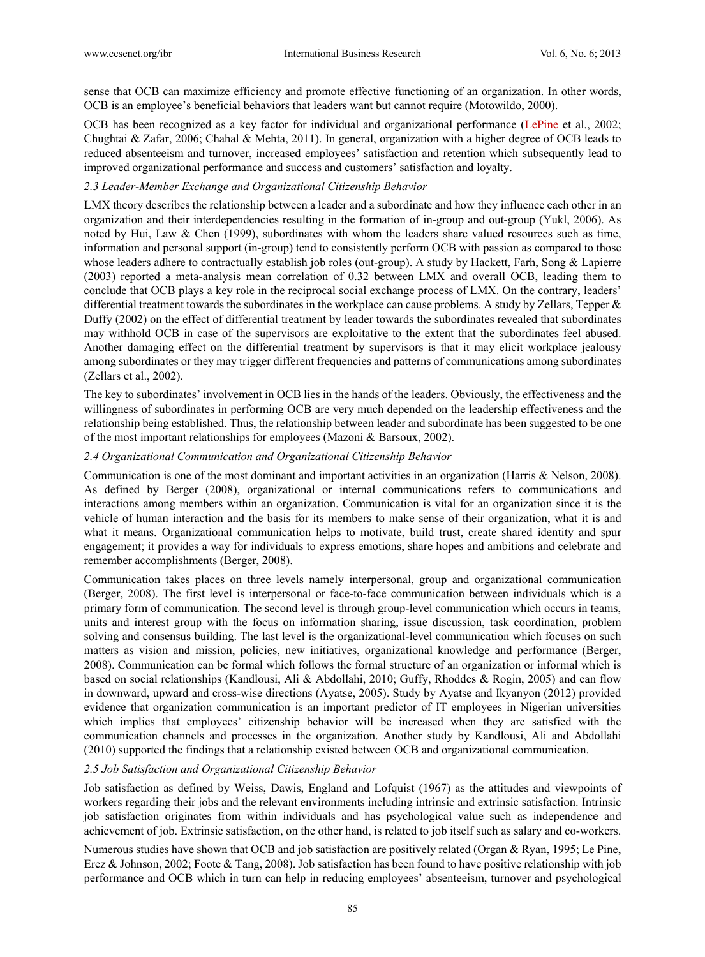sense that OCB can maximize efficiency and promote effective functioning of an organization. In other words, OCB is an employee's beneficial behaviors that leaders want but cannot require (Motowildo, 2000).

OCB has been recognized as a key factor for individual and organizational performance (LePine et al., 2002; Chughtai & Zafar, 2006; Chahal & Mehta, 2011). In general, organization with a higher degree of OCB leads to reduced absenteeism and turnover, increased employees' satisfaction and retention which subsequently lead to improved organizational performance and success and customers' satisfaction and loyalty.

## *2.3 Leader-Member Exchange and Organizational Citizenship Behavior*

LMX theory describes the relationship between a leader and a subordinate and how they influence each other in an organization and their interdependencies resulting in the formation of in-group and out-group (Yukl, 2006). As noted by Hui, Law & Chen (1999), subordinates with whom the leaders share valued resources such as time, information and personal support (in-group) tend to consistently perform OCB with passion as compared to those whose leaders adhere to contractually establish job roles (out-group). A study by Hackett, Farh, Song & Lapierre (2003) reported a meta-analysis mean correlation of 0.32 between LMX and overall OCB, leading them to conclude that OCB plays a key role in the reciprocal social exchange process of LMX. On the contrary, leaders' differential treatment towards the subordinates in the workplace can cause problems. A study by Zellars, Tepper & Duffy (2002) on the effect of differential treatment by leader towards the subordinates revealed that subordinates may withhold OCB in case of the supervisors are exploitative to the extent that the subordinates feel abused. Another damaging effect on the differential treatment by supervisors is that it may elicit workplace jealousy among subordinates or they may trigger different frequencies and patterns of communications among subordinates (Zellars et al., 2002).

The key to subordinates' involvement in OCB lies in the hands of the leaders. Obviously, the effectiveness and the willingness of subordinates in performing OCB are very much depended on the leadership effectiveness and the relationship being established. Thus, the relationship between leader and subordinate has been suggested to be one of the most important relationships for employees (Mazoni & Barsoux, 2002).

## *2.4 Organizational Communication and Organizational Citizenship Behavior*

Communication is one of the most dominant and important activities in an organization (Harris & Nelson, 2008). As defined by Berger (2008), organizational or internal communications refers to communications and interactions among members within an organization. Communication is vital for an organization since it is the vehicle of human interaction and the basis for its members to make sense of their organization, what it is and what it means. Organizational communication helps to motivate, build trust, create shared identity and spur engagement; it provides a way for individuals to express emotions, share hopes and ambitions and celebrate and remember accomplishments (Berger, 2008).

Communication takes places on three levels namely interpersonal, group and organizational communication (Berger, 2008). The first level is interpersonal or face-to-face communication between individuals which is a primary form of communication. The second level is through group-level communication which occurs in teams, units and interest group with the focus on information sharing, issue discussion, task coordination, problem solving and consensus building. The last level is the organizational-level communication which focuses on such matters as vision and mission, policies, new initiatives, organizational knowledge and performance (Berger, 2008). Communication can be formal which follows the formal structure of an organization or informal which is based on social relationships (Kandlousi, Ali & Abdollahi, 2010; Guffy, Rhoddes & Rogin, 2005) and can flow in downward, upward and cross-wise directions (Ayatse, 2005). Study by Ayatse and Ikyanyon (2012) provided evidence that organization communication is an important predictor of IT employees in Nigerian universities which implies that employees' citizenship behavior will be increased when they are satisfied with the communication channels and processes in the organization. Another study by Kandlousi, Ali and Abdollahi (2010) supported the findings that a relationship existed between OCB and organizational communication.

# *2.5 Job Satisfaction and Organizational Citizenship Behavior*

Job satisfaction as defined by Weiss, Dawis, England and Lofquist (1967) as the attitudes and viewpoints of workers regarding their jobs and the relevant environments including intrinsic and extrinsic satisfaction. Intrinsic job satisfaction originates from within individuals and has psychological value such as independence and achievement of job. Extrinsic satisfaction, on the other hand, is related to job itself such as salary and co-workers.

Numerous studies have shown that OCB and job satisfaction are positively related (Organ & Ryan, 1995; Le Pine, Erez & Johnson, 2002; Foote & Tang, 2008). Job satisfaction has been found to have positive relationship with job performance and OCB which in turn can help in reducing employees' absenteeism, turnover and psychological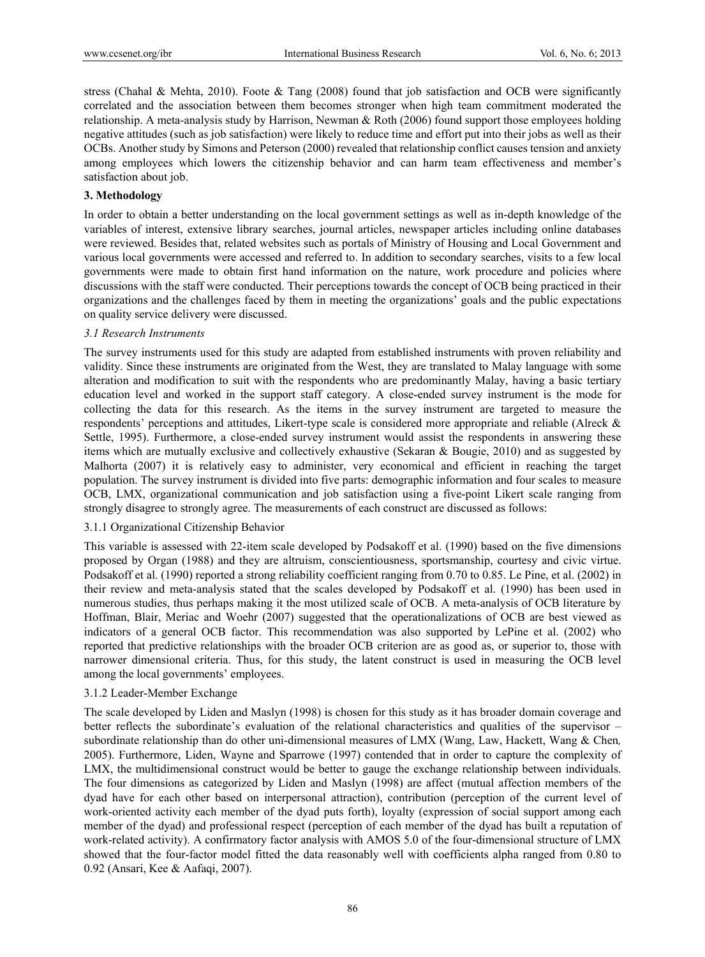stress (Chahal & Mehta, 2010). Foote & Tang (2008) found that job satisfaction and OCB were significantly correlated and the association between them becomes stronger when high team commitment moderated the relationship. A meta-analysis study by Harrison, Newman & Roth (2006) found support those employees holding negative attitudes (such as job satisfaction) were likely to reduce time and effort put into their jobs as well as their OCBs. Another study by Simons and Peterson (2000) revealed that relationship conflict causes tension and anxiety among employees which lowers the citizenship behavior and can harm team effectiveness and member's satisfaction about job.

## **3. Methodology**

In order to obtain a better understanding on the local government settings as well as in-depth knowledge of the variables of interest, extensive library searches, journal articles, newspaper articles including online databases were reviewed. Besides that, related websites such as portals of Ministry of Housing and Local Government and various local governments were accessed and referred to. In addition to secondary searches, visits to a few local governments were made to obtain first hand information on the nature, work procedure and policies where discussions with the staff were conducted. Their perceptions towards the concept of OCB being practiced in their organizations and the challenges faced by them in meeting the organizations' goals and the public expectations on quality service delivery were discussed.

## *3.1 Research Instruments*

The survey instruments used for this study are adapted from established instruments with proven reliability and validity. Since these instruments are originated from the West, they are translated to Malay language with some alteration and modification to suit with the respondents who are predominantly Malay, having a basic tertiary education level and worked in the support staff category. A close-ended survey instrument is the mode for collecting the data for this research. As the items in the survey instrument are targeted to measure the respondents' perceptions and attitudes, Likert-type scale is considered more appropriate and reliable (Alreck & Settle, 1995). Furthermore, a close-ended survey instrument would assist the respondents in answering these items which are mutually exclusive and collectively exhaustive (Sekaran & Bougie, 2010) and as suggested by Malhorta (2007) it is relatively easy to administer, very economical and efficient in reaching the target population. The survey instrument is divided into five parts: demographic information and four scales to measure OCB, LMX, organizational communication and job satisfaction using a five-point Likert scale ranging from strongly disagree to strongly agree. The measurements of each construct are discussed as follows:

## 3.1.1 Organizational Citizenship Behavior

This variable is assessed with 22-item scale developed by Podsakoff et al. (1990) based on the five dimensions proposed by Organ (1988) and they are altruism, conscientiousness, sportsmanship, courtesy and civic virtue. Podsakoff et al. (1990) reported a strong reliability coefficient ranging from 0.70 to 0.85. Le Pine, et al. (2002) in their review and meta-analysis stated that the scales developed by Podsakoff et al. (1990) has been used in numerous studies, thus perhaps making it the most utilized scale of OCB. A meta-analysis of OCB literature by Hoffman, Blair, Meriac and Woehr (2007) suggested that the operationalizations of OCB are best viewed as indicators of a general OCB factor. This recommendation was also supported by LePine et al. (2002) who reported that predictive relationships with the broader OCB criterion are as good as, or superior to, those with narrower dimensional criteria. Thus, for this study, the latent construct is used in measuring the OCB level among the local governments' employees.

## 3.1.2 Leader-Member Exchange

The scale developed by Liden and Maslyn (1998) is chosen for this study as it has broader domain coverage and better reflects the subordinate's evaluation of the relational characteristics and qualities of the supervisor – subordinate relationship than do other uni-dimensional measures of LMX (Wang, Law, Hackett, Wang & Chen*,*  2005). Furthermore, Liden, Wayne and Sparrowe (1997) contended that in order to capture the complexity of LMX, the multidimensional construct would be better to gauge the exchange relationship between individuals. The four dimensions as categorized by Liden and Maslyn (1998) are affect (mutual affection members of the dyad have for each other based on interpersonal attraction), contribution (perception of the current level of work-oriented activity each member of the dyad puts forth), loyalty (expression of social support among each member of the dyad) and professional respect (perception of each member of the dyad has built a reputation of work-related activity). A confirmatory factor analysis with AMOS 5.0 of the four-dimensional structure of LMX showed that the four-factor model fitted the data reasonably well with coefficients alpha ranged from 0.80 to 0.92 (Ansari, Kee & Aafaqi, 2007).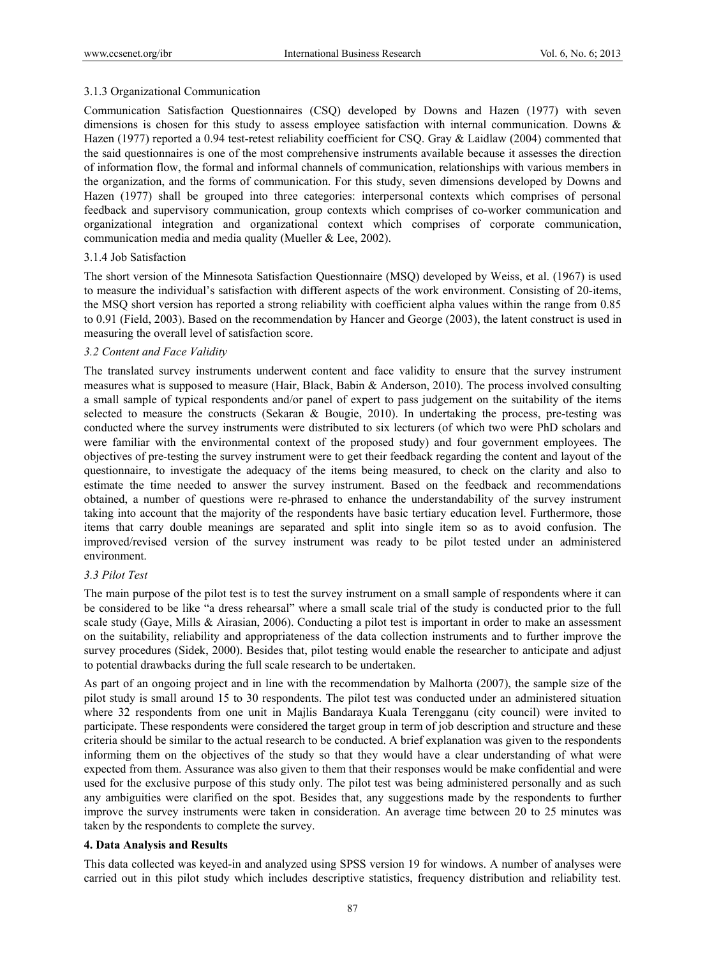## 3.1.3 Organizational Communication

Communication Satisfaction Questionnaires (CSQ) developed by Downs and Hazen (1977) with seven dimensions is chosen for this study to assess employee satisfaction with internal communication. Downs & Hazen (1977) reported a 0.94 test-retest reliability coefficient for CSQ. Gray & Laidlaw (2004) commented that the said questionnaires is one of the most comprehensive instruments available because it assesses the direction of information flow, the formal and informal channels of communication, relationships with various members in the organization, and the forms of communication. For this study, seven dimensions developed by Downs and Hazen (1977) shall be grouped into three categories: interpersonal contexts which comprises of personal feedback and supervisory communication, group contexts which comprises of co-worker communication and organizational integration and organizational context which comprises of corporate communication, communication media and media quality (Mueller & Lee, 2002).

## 3.1.4 Job Satisfaction

The short version of the Minnesota Satisfaction Questionnaire (MSQ) developed by Weiss, et al. (1967) is used to measure the individual's satisfaction with different aspects of the work environment. Consisting of 20-items, the MSQ short version has reported a strong reliability with coefficient alpha values within the range from 0.85 to 0.91 (Field, 2003). Based on the recommendation by Hancer and George (2003), the latent construct is used in measuring the overall level of satisfaction score.

## *3.2 Content and Face Validity*

The translated survey instruments underwent content and face validity to ensure that the survey instrument measures what is supposed to measure (Hair, Black, Babin & Anderson, 2010). The process involved consulting a small sample of typical respondents and/or panel of expert to pass judgement on the suitability of the items selected to measure the constructs (Sekaran & Bougie, 2010). In undertaking the process, pre-testing was conducted where the survey instruments were distributed to six lecturers (of which two were PhD scholars and were familiar with the environmental context of the proposed study) and four government employees. The objectives of pre-testing the survey instrument were to get their feedback regarding the content and layout of the questionnaire, to investigate the adequacy of the items being measured, to check on the clarity and also to estimate the time needed to answer the survey instrument. Based on the feedback and recommendations obtained, a number of questions were re-phrased to enhance the understandability of the survey instrument taking into account that the majority of the respondents have basic tertiary education level. Furthermore, those items that carry double meanings are separated and split into single item so as to avoid confusion. The improved/revised version of the survey instrument was ready to be pilot tested under an administered environment.

# *3.3 Pilot Test*

The main purpose of the pilot test is to test the survey instrument on a small sample of respondents where it can be considered to be like "a dress rehearsal" where a small scale trial of the study is conducted prior to the full scale study (Gaye, Mills & Airasian, 2006). Conducting a pilot test is important in order to make an assessment on the suitability, reliability and appropriateness of the data collection instruments and to further improve the survey procedures (Sidek, 2000). Besides that, pilot testing would enable the researcher to anticipate and adjust to potential drawbacks during the full scale research to be undertaken.

As part of an ongoing project and in line with the recommendation by Malhorta (2007), the sample size of the pilot study is small around 15 to 30 respondents. The pilot test was conducted under an administered situation where 32 respondents from one unit in Majlis Bandaraya Kuala Terengganu (city council) were invited to participate. These respondents were considered the target group in term of job description and structure and these criteria should be similar to the actual research to be conducted. A brief explanation was given to the respondents informing them on the objectives of the study so that they would have a clear understanding of what were expected from them. Assurance was also given to them that their responses would be make confidential and were used for the exclusive purpose of this study only. The pilot test was being administered personally and as such any ambiguities were clarified on the spot. Besides that, any suggestions made by the respondents to further improve the survey instruments were taken in consideration. An average time between 20 to 25 minutes was taken by the respondents to complete the survey.

# **4. Data Analysis and Results**

This data collected was keyed-in and analyzed using SPSS version 19 for windows. A number of analyses were carried out in this pilot study which includes descriptive statistics, frequency distribution and reliability test.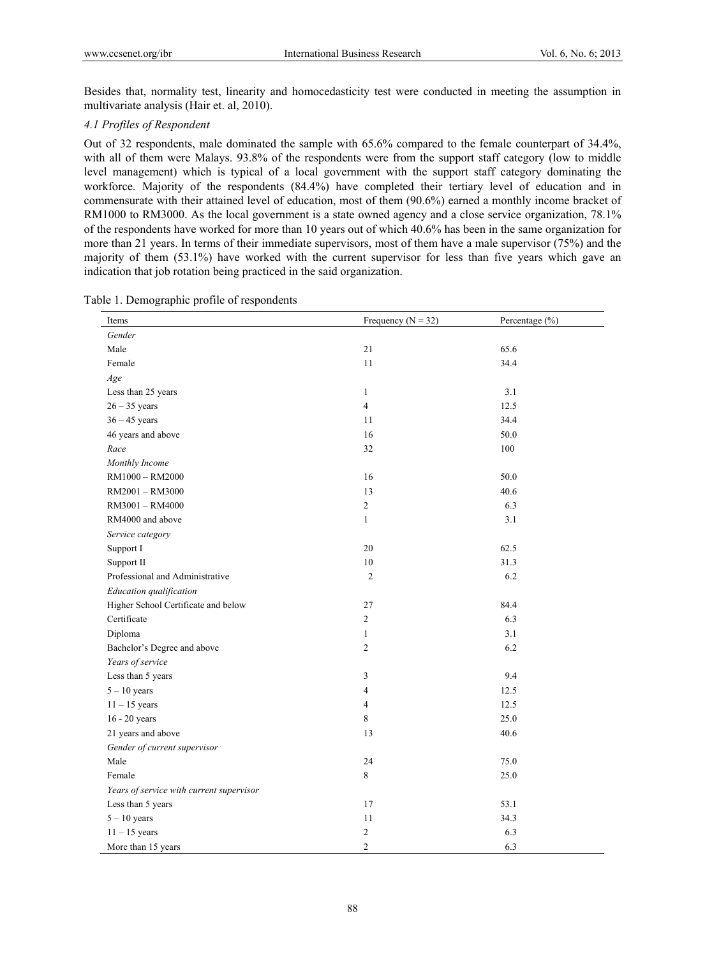Besides that, normality test, linearity and homocedasticity test were conducted in meeting the assumption in multivariate analysis (Hair et. al, 2010).

## *4.1 Profiles of Respondent*

Out of 32 respondents, male dominated the sample with 65.6% compared to the female counterpart of 34.4%, with all of them were Malays. 93.8% of the respondents were from the support staff category (low to middle level management) which is typical of a local government with the support staff category dominating the workforce. Majority of the respondents (84.4%) have completed their tertiary level of education and in commensurate with their attained level of education, most of them (90.6%) earned a monthly income bracket of RM1000 to RM3000. As the local government is a state owned agency and a close service organization, 78.1% of the respondents have worked for more than 10 years out of which 40.6% has been in the same organization for more than 21 years. In terms of their immediate supervisors, most of them have a male supervisor (75%) and the majority of them (53.1%) have worked with the current supervisor for less than five years which gave an indication that job rotation being practiced in the said organization.

| Items                                    | Frequency ( $N = 32$ ) | Percentage (%) |
|------------------------------------------|------------------------|----------------|
| Gender                                   |                        |                |
| Male                                     | 21                     | 65.6           |
| Female                                   | 11                     | 34.4           |
| Age                                      |                        |                |
| Less than 25 years                       | $\mathbf{1}$           | 3.1            |
| $26 - 35$ years                          | $\sqrt{4}$             | 12.5           |
| $36 - 45$ years                          | 11                     | 34.4           |
| 46 years and above                       | 16                     | 50.0           |
| Race                                     | 32                     | 100            |
| Monthly Income                           |                        |                |
| RM1000 - RM2000                          | 16                     | 50.0           |
| RM2001 - RM3000                          | 13                     | 40.6           |
| RM3001 - RM4000                          | $\overline{2}$         | 6.3            |
| RM4000 and above                         | $\mathbf{1}$           | 3.1            |
| Service category                         |                        |                |
| Support I                                | 20                     | 62.5           |
| Support II                               | $10\,$                 | 31.3           |
| Professional and Administrative          | $\sqrt{2}$             | 6.2            |
| Education qualification                  |                        |                |
| Higher School Certificate and below      | 27                     | 84.4           |
| Certificate                              | $\overline{2}$         | 6.3            |
| Diploma                                  | $\mathbf{1}$           | 3.1            |
| Bachelor's Degree and above              | $\overline{c}$         | 6.2            |
| Years of service                         |                        |                |
| Less than 5 years                        | $\overline{3}$         | 9.4            |
| $5 - 10$ years                           | $\overline{4}$         | 12.5           |
| $11 - 15$ years                          | $\overline{4}$         | 12.5           |
| 16 - 20 years                            | 8                      | 25.0           |
| 21 years and above                       | 13                     | 40.6           |
| Gender of current supervisor             |                        |                |
| Male                                     | 24                     | 75.0           |
| Female                                   | 8                      | 25.0           |
| Years of service with current supervisor |                        |                |
| Less than 5 years                        | 17                     | 53.1           |
| $5 - 10$ years                           | 11                     | 34.3           |
| $11 - 15$ years                          | $\overline{c}$         | 6.3            |
| More than 15 years                       | $\overline{c}$         | 6.3            |

Table 1. Demographic profile of respondents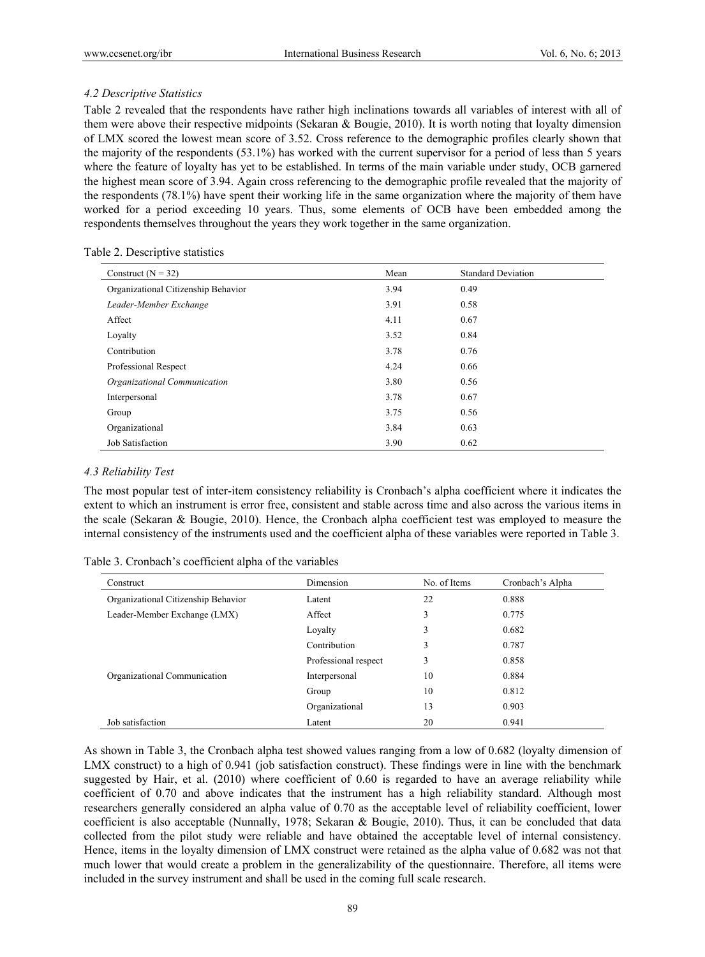## *4.2 Descriptive Statistics*

Table 2 revealed that the respondents have rather high inclinations towards all variables of interest with all of them were above their respective midpoints (Sekaran & Bougie, 2010). It is worth noting that loyalty dimension of LMX scored the lowest mean score of 3.52. Cross reference to the demographic profiles clearly shown that the majority of the respondents (53.1%) has worked with the current supervisor for a period of less than 5 years where the feature of loyalty has yet to be established. In terms of the main variable under study, OCB garnered the highest mean score of 3.94. Again cross referencing to the demographic profile revealed that the majority of the respondents (78.1%) have spent their working life in the same organization where the majority of them have worked for a period exceeding 10 years. Thus, some elements of OCB have been embedded among the respondents themselves throughout the years they work together in the same organization.

| Table 2. Descriptive statistics |
|---------------------------------|
|---------------------------------|

| Construct ( $N = 32$ )              | Mean | <b>Standard Deviation</b> |
|-------------------------------------|------|---------------------------|
| Organizational Citizenship Behavior | 3.94 | 0.49                      |
| Leader-Member Exchange              | 3.91 | 0.58                      |
| Affect                              | 4.11 | 0.67                      |
| Loyalty                             | 3.52 | 0.84                      |
| Contribution                        | 3.78 | 0.76                      |
| Professional Respect                | 4.24 | 0.66                      |
| Organizational Communication        | 3.80 | 0.56                      |
| Interpersonal                       | 3.78 | 0.67                      |
| Group                               | 3.75 | 0.56                      |
| Organizational                      | 3.84 | 0.63                      |
| Job Satisfaction                    | 3.90 | 0.62                      |

## *4.3 Reliability Test*

The most popular test of inter-item consistency reliability is Cronbach's alpha coefficient where it indicates the extent to which an instrument is error free, consistent and stable across time and also across the various items in the scale (Sekaran & Bougie, 2010). Hence, the Cronbach alpha coefficient test was employed to measure the internal consistency of the instruments used and the coefficient alpha of these variables were reported in Table 3.

|  |  |  |  | Table 3. Cronbach's coefficient alpha of the variables |
|--|--|--|--|--------------------------------------------------------|
|--|--|--|--|--------------------------------------------------------|

| Construct                           | Dimension            | No. of Items | Cronbach's Alpha |
|-------------------------------------|----------------------|--------------|------------------|
| Organizational Citizenship Behavior | Latent               | 22           | 0.888            |
| Leader-Member Exchange (LMX)        | Affect               | 3            | 0.775            |
|                                     | Lovalty              | 3            | 0.682            |
|                                     | Contribution         | 3            | 0.787            |
|                                     | Professional respect | 3            | 0.858            |
| Organizational Communication        | Interpersonal        | 10           | 0.884            |
|                                     | Group                | 10           | 0.812            |
|                                     | Organizational       | 13           | 0.903            |
| Job satisfaction                    | Latent               | 20           | 0.941            |

As shown in Table 3, the Cronbach alpha test showed values ranging from a low of 0.682 (loyalty dimension of LMX construct) to a high of 0.941 (job satisfaction construct). These findings were in line with the benchmark suggested by Hair, et al. (2010) where coefficient of 0.60 is regarded to have an average reliability while coefficient of 0.70 and above indicates that the instrument has a high reliability standard. Although most researchers generally considered an alpha value of 0.70 as the acceptable level of reliability coefficient, lower coefficient is also acceptable (Nunnally, 1978; Sekaran & Bougie, 2010). Thus, it can be concluded that data collected from the pilot study were reliable and have obtained the acceptable level of internal consistency. Hence, items in the loyalty dimension of LMX construct were retained as the alpha value of 0.682 was not that much lower that would create a problem in the generalizability of the questionnaire. Therefore, all items were included in the survey instrument and shall be used in the coming full scale research.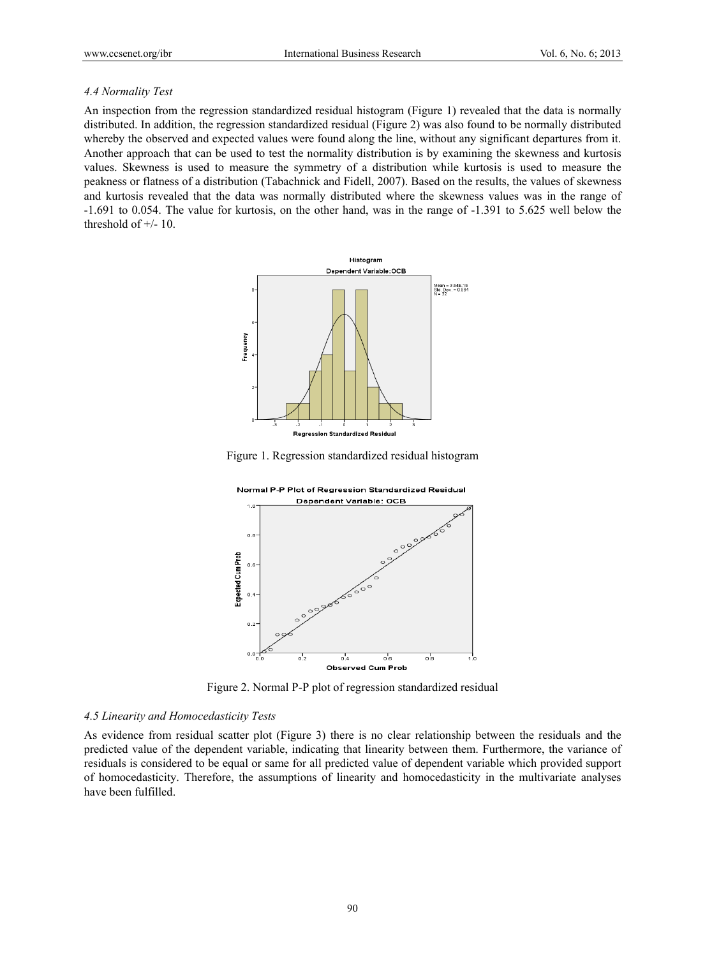#### *4.4 Normality Test*

An inspection from the regression standardized residual histogram (Figure 1) revealed that the data is normally distributed. In addition, the regression standardized residual (Figure 2) was also found to be normally distributed whereby the observed and expected values were found along the line, without any significant departures from it. Another approach that can be used to test the normality distribution is by examining the skewness and kurtosis values. Skewness is used to measure the symmetry of a distribution while kurtosis is used to measure the peakness or flatness of a distribution (Tabachnick and Fidell, 2007). Based on the results, the values of skewness and kurtosis revealed that the data was normally distributed where the skewness values was in the range of -1.691 to 0.054. The value for kurtosis, on the other hand, was in the range of -1.391 to 5.625 well below the threshold of  $+/- 10$ .



Figure 1. Regression standardized residual histogram



Figure 2. Normal P-P plot of regression standardized residual

## *4.5 Linearity and Homocedasticity Tests*

As evidence from residual scatter plot (Figure 3) there is no clear relationship between the residuals and the predicted value of the dependent variable, indicating that linearity between them. Furthermore, the variance of residuals is considered to be equal or same for all predicted value of dependent variable which provided support of homocedasticity. Therefore, the assumptions of linearity and homocedasticity in the multivariate analyses have been fulfilled.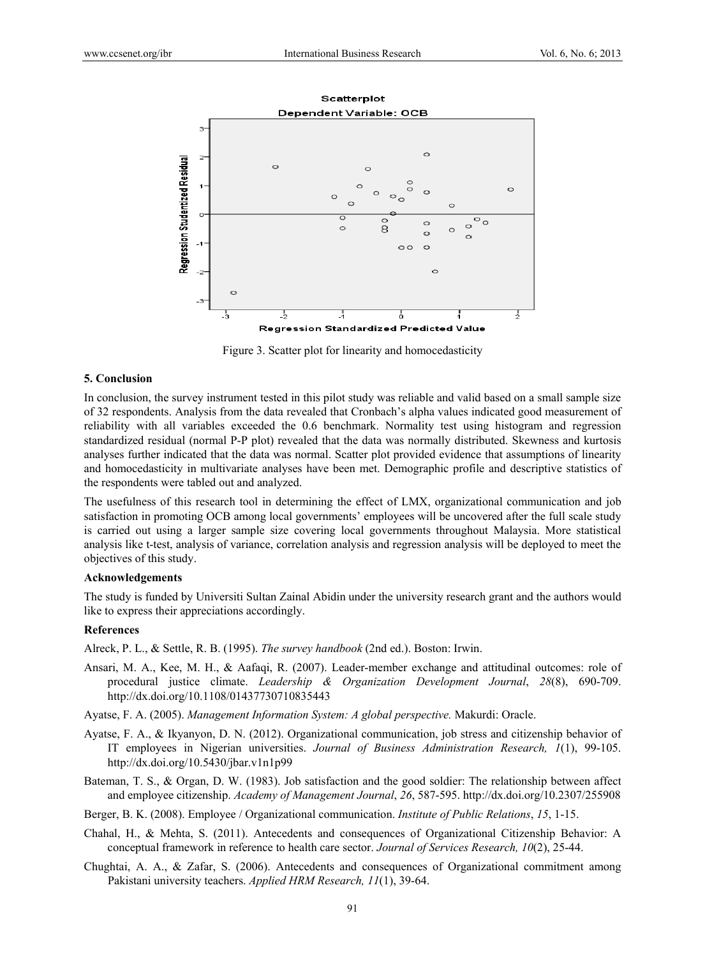

Figure 3. Scatter plot for linearity and homocedasticity

#### **5. Conclusion**

In conclusion, the survey instrument tested in this pilot study was reliable and valid based on a small sample size of 32 respondents. Analysis from the data revealed that Cronbach's alpha values indicated good measurement of reliability with all variables exceeded the 0.6 benchmark. Normality test using histogram and regression standardized residual (normal P-P plot) revealed that the data was normally distributed. Skewness and kurtosis analyses further indicated that the data was normal. Scatter plot provided evidence that assumptions of linearity and homocedasticity in multivariate analyses have been met. Demographic profile and descriptive statistics of the respondents were tabled out and analyzed.

The usefulness of this research tool in determining the effect of LMX, organizational communication and job satisfaction in promoting OCB among local governments' employees will be uncovered after the full scale study is carried out using a larger sample size covering local governments throughout Malaysia. More statistical analysis like t-test, analysis of variance, correlation analysis and regression analysis will be deployed to meet the objectives of this study.

#### **Acknowledgements**

The study is funded by Universiti Sultan Zainal Abidin under the university research grant and the authors would like to express their appreciations accordingly.

#### **References**

Alreck, P. L., & Settle, R. B. (1995). *The survey handbook* (2nd ed.). Boston: Irwin.

- Ansari, M. A., Kee, M. H., & Aafaqi, R. (2007). Leader-member exchange and attitudinal outcomes: role of procedural justice climate. *Leadership & Organization Development Journal*, *28*(8), 690-709. http://dx.doi.org/10.1108/01437730710835443
- Ayatse, F. A. (2005). *Management Information System: A global perspective.* Makurdi: Oracle.
- Ayatse, F. A., & Ikyanyon, D. N. (2012). Organizational communication, job stress and citizenship behavior of IT employees in Nigerian universities. *Journal of Business Administration Research, 1*(1), 99-105. http://dx.doi.org/10.5430/jbar.v1n1p99
- Bateman, T. S., & Organ, D. W. (1983). Job satisfaction and the good soldier: The relationship between affect and employee citizenship. *Academy of Management Journal*, *26*, 587-595. http://dx.doi.org/10.2307/255908
- Berger, B. K. (2008). Employee / Organizational communication. *Institute of Public Relations*, *15*, 1-15.
- Chahal, H., & Mehta, S. (2011). Antecedents and consequences of Organizational Citizenship Behavior: A conceptual framework in reference to health care sector. *Journal of Services Research, 10*(2), 25-44.
- Chughtai, A. A., & Zafar, S. (2006). Antecedents and consequences of Organizational commitment among Pakistani university teachers. *Applied HRM Research, 11*(1), 39-64.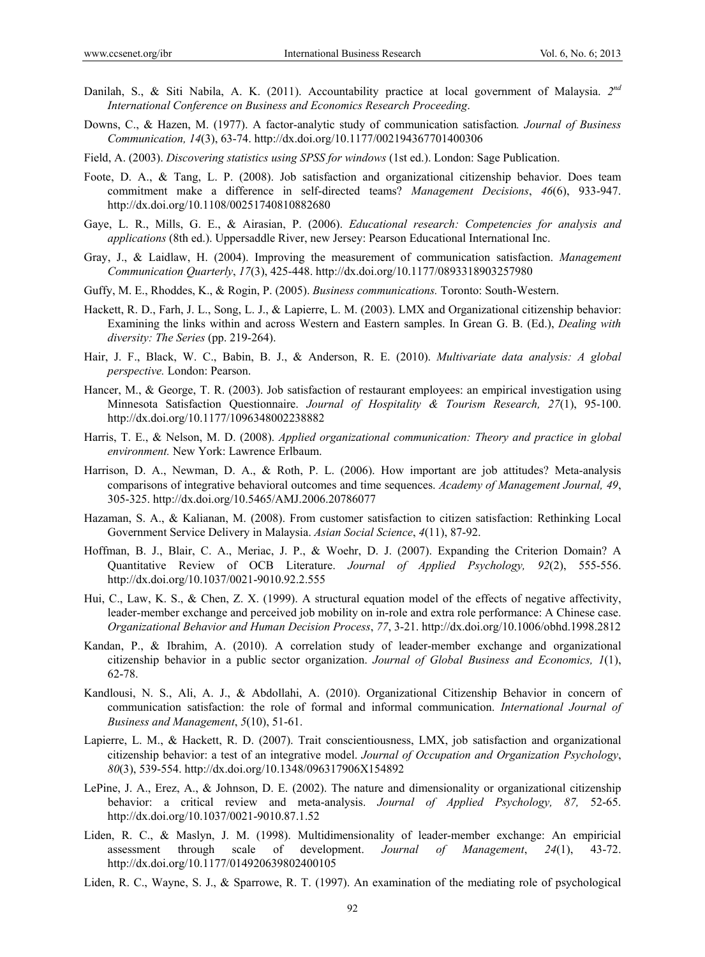- Danilah, S., & Siti Nabila, A. K. (2011). Accountability practice at local government of Malaysia. *2nd International Conference on Business and Economics Research Proceeding*.
- Downs, C., & Hazen, M. (1977). A factor-analytic study of communication satisfaction*. Journal of Business Communication, 14*(3), 63-74. http://dx.doi.org/10.1177/002194367701400306
- Field, A. (2003). *Discovering statistics using SPSS for windows* (1st ed.). London: Sage Publication.
- Foote, D. A., & Tang, L. P. (2008). Job satisfaction and organizational citizenship behavior. Does team commitment make a difference in self-directed teams? *Management Decisions*, *46*(6), 933-947. http://dx.doi.org/10.1108/00251740810882680
- Gaye, L. R., Mills, G. E., & Airasian, P. (2006). *Educational research: Competencies for analysis and applications* (8th ed.). Uppersaddle River, new Jersey: Pearson Educational International Inc.
- Gray, J., & Laidlaw, H. (2004). Improving the measurement of communication satisfaction. *Management Communication Quarterly*, *17*(3), 425-448. http://dx.doi.org/10.1177/0893318903257980
- Guffy, M. E., Rhoddes, K., & Rogin, P. (2005). *Business communications.* Toronto: South-Western.
- Hackett, R. D., Farh, J. L., Song, L. J., & Lapierre, L. M. (2003). LMX and Organizational citizenship behavior: Examining the links within and across Western and Eastern samples. In Grean G. B. (Ed.), *Dealing with diversity: The Series* (pp. 219-264).
- Hair, J. F., Black, W. C., Babin, B. J., & Anderson, R. E. (2010). *Multivariate data analysis: A global perspective.* London: Pearson.
- Hancer, M., & George, T. R. (2003). Job satisfaction of restaurant employees: an empirical investigation using Minnesota Satisfaction Questionnaire. *Journal of Hospitality & Tourism Research, 27*(1), 95-100. http://dx.doi.org/10.1177/1096348002238882
- Harris, T. E., & Nelson, M. D. (2008). *Applied organizational communication: Theory and practice in global environment.* New York: Lawrence Erlbaum.
- Harrison, D. A., Newman, D. A., & Roth, P. L. (2006). How important are job attitudes? Meta-analysis comparisons of integrative behavioral outcomes and time sequences. *Academy of Management Journal, 49*, 305-325. http://dx.doi.org/10.5465/AMJ.2006.20786077
- Hazaman, S. A., & Kalianan, M. (2008). From customer satisfaction to citizen satisfaction: Rethinking Local Government Service Delivery in Malaysia. *Asian Social Science*, *4*(11), 87-92.
- Hoffman, B. J., Blair, C. A., Meriac, J. P., & Woehr, D. J. (2007). Expanding the Criterion Domain? A Quantitative Review of OCB Literature. *Journal of Applied Psychology, 92*(2), 555-556. http://dx.doi.org/10.1037/0021-9010.92.2.555
- Hui, C., Law, K. S., & Chen, Z. X. (1999). A structural equation model of the effects of negative affectivity, leader-member exchange and perceived job mobility on in-role and extra role performance: A Chinese case. *Organizational Behavior and Human Decision Process*, *77*, 3-21. http://dx.doi.org/10.1006/obhd.1998.2812
- Kandan, P., & Ibrahim, A. (2010). A correlation study of leader-member exchange and organizational citizenship behavior in a public sector organization. *Journal of Global Business and Economics, 1*(1), 62-78.
- Kandlousi, N. S., Ali, A. J., & Abdollahi, A. (2010). Organizational Citizenship Behavior in concern of communication satisfaction: the role of formal and informal communication. *International Journal of Business and Management*, *5*(10), 51-61.
- Lapierre, L. M., & Hackett, R. D. (2007). Trait conscientiousness, LMX, job satisfaction and organizational citizenship behavior: a test of an integrative model. *Journal of Occupation and Organization Psychology*, *80*(3), 539-554. http://dx.doi.org/10.1348/096317906X154892
- LePine, J. A., Erez, A., & Johnson, D. E. (2002). The nature and dimensionality or organizational citizenship behavior: a critical review and meta-analysis. *Journal of Applied Psychology, 87,* 52-65. http://dx.doi.org/10.1037/0021-9010.87.1.52
- Liden, R. C., & Maslyn, J. M. (1998). Multidimensionality of leader-member exchange: An empiricial assessment through scale of development. *Journal of Management*, *24*(1), 43-72. http://dx.doi.org/10.1177/014920639802400105
- Liden, R. C., Wayne, S. J., & Sparrowe, R. T. (1997). An examination of the mediating role of psychological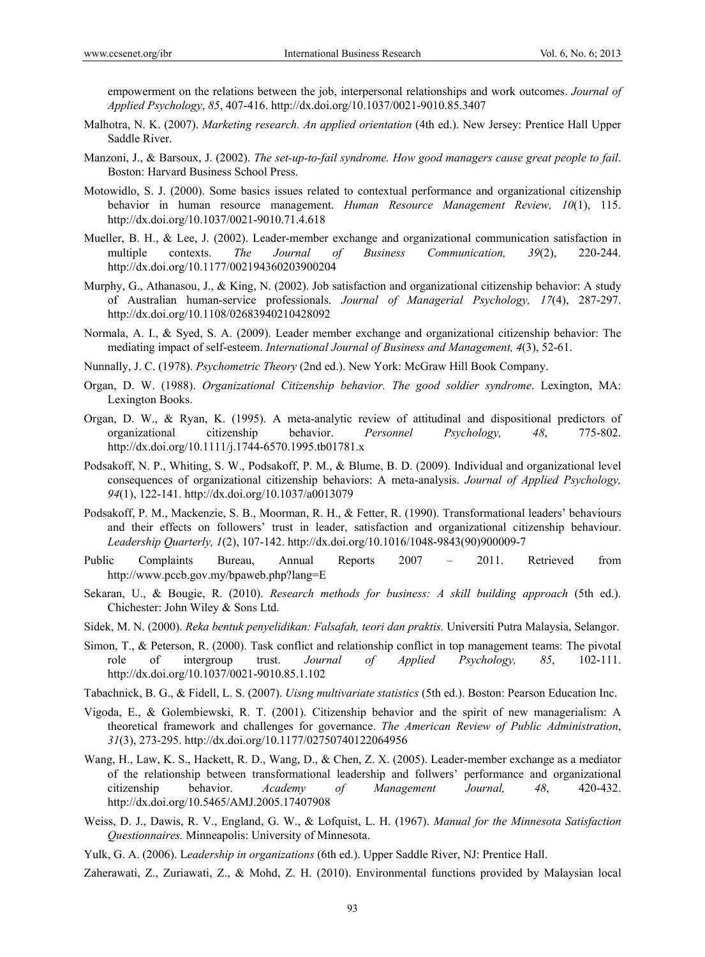empowerment on the relations between the job, interpersonal relationships and work outcomes. *Journal of Applied Psychology*, *85*, 407-416. http://dx.doi.org/10.1037/0021-9010.85.3407

- Malhotra, N. K. (2007). *Marketing research. An applied orientation* (4th ed.). New Jersey: Prentice Hall Upper Saddle River.
- Manzoni, J., & Barsoux, J. (2002). *The set-up-to-fail syndrome. How good managers cause great people to fail*. Boston: Harvard Business School Press.
- Motowidlo, S. J. (2000). Some basics issues related to contextual performance and organizational citizenship behavior in human resource management. *Human Resource Management Review, 10*(1), 115. http://dx.doi.org/10.1037/0021-9010.71.4.618
- Mueller, B. H., & Lee, J. (2002). Leader-member exchange and organizational communication satisfaction in multiple contexts. *The Journal of Business Communication, 39*(2), 220-244. http://dx.doi.org/10.1177/002194360203900204
- Murphy, G., Athanasou, J., & King, N. (2002). Job satisfaction and organizational citizenship behavior: A study of Australian human-service professionals. *Journal of Managerial Psychology, 17*(4), 287-297. http://dx.doi.org/10.1108/02683940210428092
- Normala, A. I., & Syed, S. A. (2009). Leader member exchange and organizational citizenship behavior: The mediating impact of self-esteem. *International Journal of Business and Management, 4*(3), 52-61.
- Nunnally, J. C. (1978). *Psychometric Theory* (2nd ed.). New York: McGraw Hill Book Company.
- Organ, D. W. (1988). *Organizational Citizenship behavior. The good soldier syndrome*. Lexington, MA: Lexington Books.
- Organ, D. W., & Ryan, K. (1995). A meta-analytic review of attitudinal and dispositional predictors of organizational citizenship behavior. *Personnel Psychology, 48*, 775-802. http://dx.doi.org/10.1111/j.1744-6570.1995.tb01781.x
- Podsakoff, N. P., Whiting, S. W., Podsakoff, P. M., & Blume, B. D. (2009). Individual and organizational level consequences of organizational citizenship behaviors: A meta-analysis. *Journal of Applied Psychology, 94*(1), 122-141. http://dx.doi.org/10.1037/a0013079
- Podsakoff, P. M., Mackenzie, S. B., Moorman, R. H., & Fetter, R. (1990). Transformational leaders' behaviours and their effects on followers' trust in leader, satisfaction and organizational citizenship behaviour. *Leadership Quarterly, 1*(2), 107-142. http://dx.doi.org/10.1016/1048-9843(90)900009-7
- Public Complaints Bureau, Annual Reports 2007 2011. Retrieved from http://www.pccb.gov.my/bpaweb.php?lang=E
- Sekaran, U., & Bougie, R. (2010). *Research methods for business: A skill building approach* (5th ed.). Chichester: John Wiley & Sons Ltd.
- Sidek, M. N. (2000). *Reka bentuk penyelidikan: Falsafah, teori dan praktis.* Universiti Putra Malaysia, Selangor.
- Simon, T., & Peterson, R. (2000). Task conflict and relationship conflict in top management teams: The pivotal role of intergroup trust. *Journal of Applied Psychology, 85*, 102-111. http://dx.doi.org/10.1037/0021-9010.85.1.102
- Tabachnick, B. G., & Fidell, L. S. (2007). *Uisng multivariate statistics* (5th ed.). Boston: Pearson Education Inc.
- Vigoda, E., & Golembiewski, R. T. (2001). Citizenship behavior and the spirit of new managerialism: A theoretical framework and challenges for governance. *The American Review of Public Administration*, *31*(3), 273-295. http://dx.doi.org/10.1177/02750740122064956
- Wang, H., Law, K. S., Hackett, R. D., Wang, D., & Chen, Z. X. (2005). Leader-member exchange as a mediator of the relationship between transformational leadership and follwers' performance and organizational citizenship behavior. *Academy of Management Journal, 48*, 420-432. http://dx.doi.org/10.5465/AMJ.2005.17407908
- Weiss, D. J., Dawis, R. V., England, G. W., & Lofquist, L. H. (1967). *Manual for the Minnesota Satisfaction Questionnaires.* Minneapolis: University of Minnesota.
- Yulk, G. A. (2006). L*eadership in organizations* (6th ed.). Upper Saddle River, NJ: Prentice Hall.
- Zaherawati, Z., Zuriawati, Z., & Mohd, Z. H. (2010). Environmental functions provided by Malaysian local